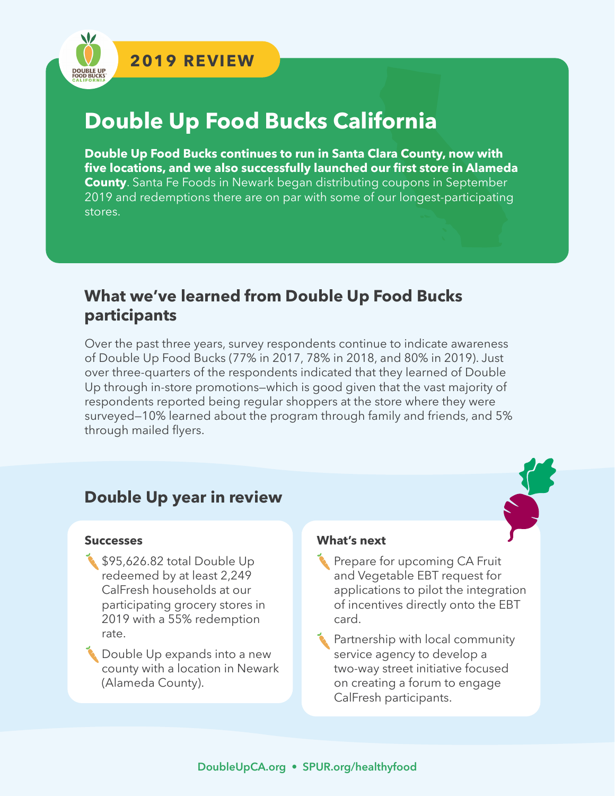# **Double Up Food Bucks California**

**Double Up Food Bucks continues to run in Santa Clara County, now with five locations, and we also successfully launched our first store in Alameda County**. Santa Fe Foods in Newark began distributing coupons in September 2019 and redemptions there are on par with some of our longest-participating stores.

### **What we've learned from Double Up Food Bucks participants**

Over the past three years, survey respondents continue to indicate awareness of Double Up Food Bucks (77% in 2017, 78% in 2018, and 80% in 2019). Just over three-quarters of the respondents indicated that they learned of Double Up through in-store promotions—which is good given that the vast majority of respondents reported being regular shoppers at the store where they were surveyed—10% learned about the program through family and friends, and 5% through mailed flyers.

#### **Double Up year in review**

#### **Successes**

- \$95,626.82 total Double Up redeemed by at least 2,249 CalFresh households at our participating grocery stores in 2019 with a 55% redemption rate.
- **Double Up expands into a new** county with a location in Newark (Alameda County).

#### **What's next**

- Prepare for upcoming CA Fruit and Vegetable EBT request for applications to pilot the integration of incentives directly onto the EBT card.
- **Partnership with local community** service agency to develop a two-way street initiative focused on creating a forum to engage CalFresh participants.